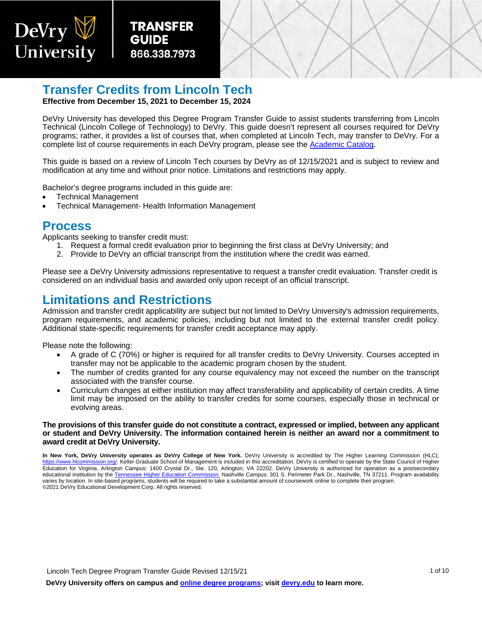

TRANSFER GUIDE 866-338-7973



### **Transfer Credits from Lincoln Tech**

**Effective from December 15, 2021 to December 15, 2024**

DeVry University has developed this Degree Program Transfer Guide to assist students transferring from Lincoln Technical (Lincoln College of Technology) to DeVry. This guide doesn't represent all courses required for DeVry programs; rather, it provides a list of courses that, when completed at Lincoln Tech, may transfer to DeVry. For a complete list of course requirements in each DeVry program, please see the [Academic Catalog.](https://www.devry.edu/online-programs/academics/academic-catalog.html)

This guide is based on a review of Lincoln Tech courses by DeVry as of 12/15/2021 and is subject to review and modification at any time and without prior notice. Limitations and restrictions may apply.

Bachelor's degree programs included in this guide are:

- Technical Management
- Technical Management- Health Information Management

#### **Process**

Applicants seeking to transfer credit must:

- 1. Request a formal credit evaluation prior to beginning the first class at DeVry University; and
- 2. Provide to DeVry an official transcript from the institution where the credit was earned.

Please see a DeVry University admissions representative to request a transfer credit evaluation. Transfer credit is considered on an individual basis and awarded only upon receipt of an official transcript.

#### **Limitations and Restrictions**

Admission and transfer credit applicability are subject but not limited to DeVry University's admission requirements, program requirements, and academic policies, including but not limited to the external transfer credit policy. Additional state-specific requirements for transfer credit acceptance may apply.

Please note the following:

- A grade of C (70%) or higher is required for all transfer credits to DeVry University. Courses accepted in transfer may not be applicable to the academic program chosen by the student.
- The number of credits granted for any course equivalency may not exceed the number on the transcript associated with the transfer course.
- Curriculum changes at either institution may affect transferability and applicability of certain credits. A time limit may be imposed on the ability to transfer credits for some courses, especially those in technical or evolving areas.

#### **The provisions of this transfer guide do not constitute a contract, expressed or implied, between any applicant or student and DeVry University. The information contained herein is neither an award nor a commitment to award credit at DeVry University.**

**In New York, DeVry University operates as DeVry College of New York.** DeVry University is accredited by The Higher Learning Commission (HLC), [https://www.hlcommission.org/.](https://www.hlcommission.org/) Keller Graduate School of Management is included in this accreditation. DeVry is certified to operate by the State Council of Higher Education for Virginia. Arlington Campus: 1400 Crystal Dr., Ste. 120, Arlington, VA 22202. DeVry University is authorized for operation as a postsecondary educational institution by th[e Tennessee Higher Education Commission.](https://www.tn.gov/thec) Nashville Campus: 301 S. Perimeter Park Dr., Nashville, TN 37211. Program availability varies by location. In site-based programs, students will be required to take a substantial amount of coursework online to complete their program. ©2021 DeVry Educational Development Corp. All rights reserved.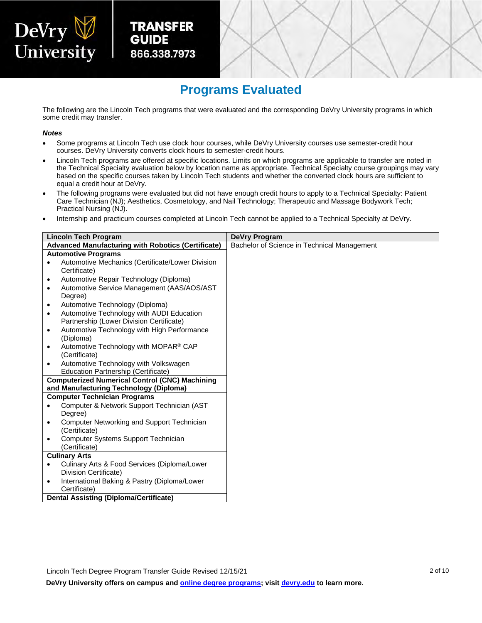# DeVry V<br>University

**TRANSFER GUIDE** 866.338.7973



### **Programs Evaluated**

The following are the Lincoln Tech programs that were evaluated and the corresponding DeVry University programs in which some credit may transfer.

#### *Notes*

- Some programs at Lincoln Tech use clock hour courses, while DeVry University courses use semester-credit hour courses. DeVry University converts clock hours to semester-credit hours.
- Lincoln Tech programs are offered at specific locations. Limits on which programs are applicable to transfer are noted in the Technical Specialty evaluation below by location name as appropriate. Technical Specialty course groupings may vary based on the specific courses taken by Lincoln Tech students and whether the converted clock hours are sufficient to equal a credit hour at DeVry.
- The following programs were evaluated but did not have enough credit hours to apply to a Technical Specialty: Patient Care Technician (NJ); Aesthetics, Cosmetology, and Nail Technology; Therapeutic and Massage Bodywork Tech; Practical Nursing (NJ).
- Internship and practicum courses completed at Lincoln Tech cannot be applied to a Technical Specialty at DeVry.

| <b>Lincoln Tech Program</b>                               | DeVry Program                               |
|-----------------------------------------------------------|---------------------------------------------|
| <b>Advanced Manufacturing with Robotics (Certificate)</b> | Bachelor of Science in Technical Management |
| <b>Automotive Programs</b>                                |                                             |
| Automotive Mechanics (Certificate/Lower Division          |                                             |
| Certificate)                                              |                                             |
| Automotive Repair Technology (Diploma)<br>$\bullet$       |                                             |
| Automotive Service Management (AAS/AOS/AST<br>$\bullet$   |                                             |
| Degree)                                                   |                                             |
| Automotive Technology (Diploma)<br>$\bullet$              |                                             |
| Automotive Technology with AUDI Education<br>$\bullet$    |                                             |
| Partnership (Lower Division Certificate)                  |                                             |
| Automotive Technology with High Performance<br>$\bullet$  |                                             |
| (Diploma)                                                 |                                             |
| Automotive Technology with MOPAR® CAP<br>$\bullet$        |                                             |
| (Certificate)                                             |                                             |
| Automotive Technology with Volkswagen<br>$\bullet$        |                                             |
| Education Partnership (Certificate)                       |                                             |
| <b>Computerized Numerical Control (CNC) Machining</b>     |                                             |
| and Manufacturing Technology (Diploma)                    |                                             |
| <b>Computer Technician Programs</b>                       |                                             |
| Computer & Network Support Technician (AST                |                                             |
| Degree)                                                   |                                             |
| Computer Networking and Support Technician<br>$\bullet$   |                                             |
| (Certificate)                                             |                                             |
| <b>Computer Systems Support Technician</b><br>$\bullet$   |                                             |
| (Certificate)                                             |                                             |
| <b>Culinary Arts</b>                                      |                                             |
| Culinary Arts & Food Services (Diploma/Lower<br>$\bullet$ |                                             |
| Division Certificate)                                     |                                             |
| International Baking & Pastry (Diploma/Lower<br>$\bullet$ |                                             |
| Certificate)                                              |                                             |
| <b>Dental Assisting (Diploma/Certificate)</b>             |                                             |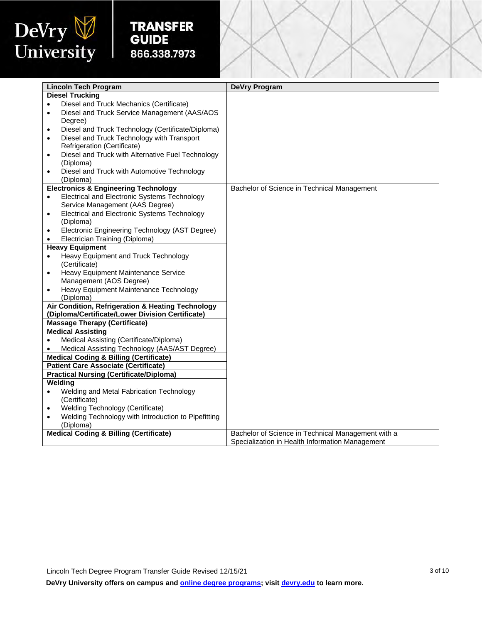

Į

|           | <b>Lincoln Tech Program</b>                                                      | <b>DeVry Program</b>                               |
|-----------|----------------------------------------------------------------------------------|----------------------------------------------------|
|           | <b>Diesel Trucking</b>                                                           |                                                    |
| ٠         | Diesel and Truck Mechanics (Certificate)                                         |                                                    |
| $\bullet$ | Diesel and Truck Service Management (AAS/AOS                                     |                                                    |
|           | Degree)                                                                          |                                                    |
| $\bullet$ | Diesel and Truck Technology (Certificate/Diploma)                                |                                                    |
| $\bullet$ | Diesel and Truck Technology with Transport                                       |                                                    |
|           | Refrigeration (Certificate)                                                      |                                                    |
| $\bullet$ | Diesel and Truck with Alternative Fuel Technology                                |                                                    |
|           | (Diploma)                                                                        |                                                    |
| $\bullet$ | Diesel and Truck with Automotive Technology                                      |                                                    |
|           | (Diploma)                                                                        |                                                    |
|           | <b>Electronics &amp; Engineering Technology</b>                                  | Bachelor of Science in Technical Management        |
| $\bullet$ | Electrical and Electronic Systems Technology                                     |                                                    |
|           | Service Management (AAS Degree)                                                  |                                                    |
| $\bullet$ | Electrical and Electronic Systems Technology                                     |                                                    |
|           | (Diploma)                                                                        |                                                    |
| $\bullet$ | Electronic Engineering Technology (AST Degree)<br>Electrician Training (Diploma) |                                                    |
|           | <b>Heavy Equipment</b>                                                           |                                                    |
|           | Heavy Equipment and Truck Technology                                             |                                                    |
|           | (Certificate)                                                                    |                                                    |
| $\bullet$ | Heavy Equipment Maintenance Service                                              |                                                    |
|           | Management (AOS Degree)                                                          |                                                    |
|           | Heavy Equipment Maintenance Technology                                           |                                                    |
|           | (Diploma)                                                                        |                                                    |
|           | Air Condition, Refrigeration & Heating Technology                                |                                                    |
|           | (Diploma/Certificate/Lower Division Certificate)                                 |                                                    |
|           | <b>Massage Therapy (Certificate)</b>                                             |                                                    |
|           | <b>Medical Assisting</b>                                                         |                                                    |
|           | Medical Assisting (Certificate/Diploma)                                          |                                                    |
|           | Medical Assisting Technology (AAS/AST Degree)                                    |                                                    |
|           | <b>Medical Coding &amp; Billing (Certificate)</b>                                |                                                    |
|           | <b>Patient Care Associate (Certificate)</b>                                      |                                                    |
|           | <b>Practical Nursing (Certificate/Diploma)</b>                                   |                                                    |
|           | Welding                                                                          |                                                    |
| $\bullet$ | Welding and Metal Fabrication Technology<br>(Certificate)                        |                                                    |
| $\bullet$ | Welding Technology (Certificate)                                                 |                                                    |
|           | Welding Technology with Introduction to Pipefitting                              |                                                    |
|           | (Diploma)                                                                        |                                                    |
|           | <b>Medical Coding &amp; Billing (Certificate)</b>                                | Bachelor of Science in Technical Management with a |
|           |                                                                                  | Specialization in Health Information Management    |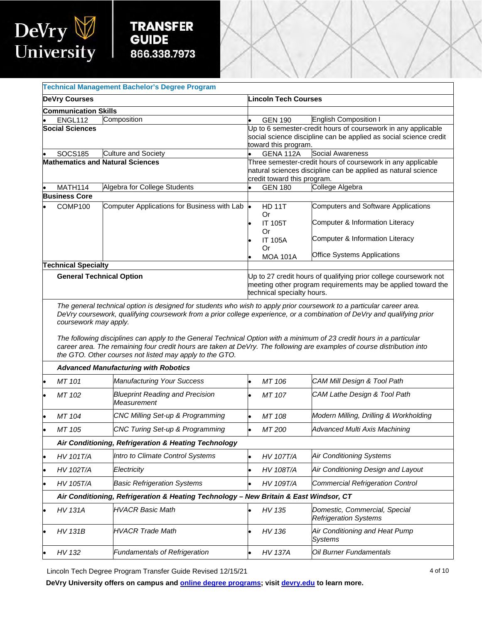

Į

|                                                                                                                                                                                                                                                                                                             | <b>Technical Management Bachelor's Degree Program</b> |                                                       |                                                                                                                                                                |                                                                                               |                                                                                                                                                        |  |
|-------------------------------------------------------------------------------------------------------------------------------------------------------------------------------------------------------------------------------------------------------------------------------------------------------------|-------------------------------------------------------|-------------------------------------------------------|----------------------------------------------------------------------------------------------------------------------------------------------------------------|-----------------------------------------------------------------------------------------------|--------------------------------------------------------------------------------------------------------------------------------------------------------|--|
| <b>DeVry Courses</b>                                                                                                                                                                                                                                                                                        |                                                       |                                                       |                                                                                                                                                                | <b>Lincoln Tech Courses</b>                                                                   |                                                                                                                                                        |  |
|                                                                                                                                                                                                                                                                                                             | <b>Communication Skills</b>                           |                                                       |                                                                                                                                                                |                                                                                               |                                                                                                                                                        |  |
|                                                                                                                                                                                                                                                                                                             | Composition<br>ENGL112                                |                                                       |                                                                                                                                                                | <b>GEN 190</b>                                                                                | English Composition I                                                                                                                                  |  |
|                                                                                                                                                                                                                                                                                                             | <b>Social Sciences</b>                                |                                                       |                                                                                                                                                                | toward this program.                                                                          | Up to 6 semester-credit hours of coursework in any applicable<br>social science discipline can be applied as social science credit                     |  |
|                                                                                                                                                                                                                                                                                                             | <b>SOCS185</b>                                        | <b>Culture and Society</b>                            |                                                                                                                                                                | GENA 112A                                                                                     | Social Awareness                                                                                                                                       |  |
|                                                                                                                                                                                                                                                                                                             | <b>Mathematics and Natural Sciences</b>               |                                                       |                                                                                                                                                                | credit toward this program.                                                                   | Three semester-credit hours of coursework in any applicable<br>natural sciences discipline can be applied as natural science                           |  |
|                                                                                                                                                                                                                                                                                                             | MATH114                                               | Algebra for College Students                          |                                                                                                                                                                | <b>GEN 180</b>                                                                                | College Algebra                                                                                                                                        |  |
|                                                                                                                                                                                                                                                                                                             | <b>Business Core</b>                                  |                                                       |                                                                                                                                                                |                                                                                               |                                                                                                                                                        |  |
|                                                                                                                                                                                                                                                                                                             | COMP100                                               | Computer Applications for Business with Lab           | l.                                                                                                                                                             | <b>HD 11T</b><br>Or<br><b>IT 105T</b><br>Or<br><b>IT 105A</b><br><b>Or</b><br><b>MOA 101A</b> | <b>Computers and Software Applications</b><br>Computer & Information Literacy<br>Computer & Information Literacy<br><b>Office Systems Applications</b> |  |
|                                                                                                                                                                                                                                                                                                             | <b>Technical Specialty</b>                            |                                                       |                                                                                                                                                                |                                                                                               |                                                                                                                                                        |  |
|                                                                                                                                                                                                                                                                                                             | <b>General Technical Option</b>                       |                                                       | Up to 27 credit hours of qualifying prior college coursework not<br>meeting other program requirements may be applied toward the<br>technical specialty hours. |                                                                                               |                                                                                                                                                        |  |
| The following disciplines can apply to the General Technical Option with a minimum of 23 credit hours in a particular<br>career area. The remaining four credit hours are taken at DeVry. The following are examples of course distribution into<br>the GTO. Other courses not listed may apply to the GTO. |                                                       |                                                       |                                                                                                                                                                |                                                                                               |                                                                                                                                                        |  |
|                                                                                                                                                                                                                                                                                                             |                                                       | <b>Advanced Manufacturing with Robotics</b>           |                                                                                                                                                                |                                                                                               |                                                                                                                                                        |  |
|                                                                                                                                                                                                                                                                                                             | MT 101                                                | <b>Manufacturing Your Success</b>                     | $\bullet$                                                                                                                                                      | MT 106                                                                                        | CAM Mill Design & Tool Path                                                                                                                            |  |
|                                                                                                                                                                                                                                                                                                             | MT 102                                                | <b>Blueprint Reading and Precision</b><br>Measurement |                                                                                                                                                                | MT 107                                                                                        | CAM Lathe Design & Tool Path                                                                                                                           |  |
|                                                                                                                                                                                                                                                                                                             | MT 104                                                | <b>CNC Milling Set-up &amp; Programming</b>           | l.                                                                                                                                                             | MT 108                                                                                        | Modern Milling, Drilling & Workholding                                                                                                                 |  |
|                                                                                                                                                                                                                                                                                                             | MT 105                                                | CNC Turing Set-up & Programming                       | $\bullet$                                                                                                                                                      | MT 200                                                                                        | Advanced Multi Axis Machining                                                                                                                          |  |
|                                                                                                                                                                                                                                                                                                             |                                                       | Air Conditioning, Refrigeration & Heating Technology  |                                                                                                                                                                |                                                                                               |                                                                                                                                                        |  |
|                                                                                                                                                                                                                                                                                                             | <b>HV 101T/A</b>                                      | Intro to Climate Control Systems                      | $\bullet$                                                                                                                                                      | <b>HV 107T/A</b>                                                                              | <b>Air Conditioning Systems</b>                                                                                                                        |  |
|                                                                                                                                                                                                                                                                                                             | HV 102T/A                                             | Electricity                                           |                                                                                                                                                                | <b>HV 108T/A</b>                                                                              | Air Conditioning Design and Layout                                                                                                                     |  |
|                                                                                                                                                                                                                                                                                                             | HV 105T/A                                             | <b>Basic Refrigeration Systems</b>                    |                                                                                                                                                                | HV 109T/A                                                                                     | <b>Commercial Refrigeration Control</b>                                                                                                                |  |
| Air Conditioning, Refrigeration & Heating Technology - New Britain & East Windsor, CT                                                                                                                                                                                                                       |                                                       |                                                       |                                                                                                                                                                |                                                                                               |                                                                                                                                                        |  |
|                                                                                                                                                                                                                                                                                                             | <b>HV 131A</b>                                        | <b>HVACR Basic Math</b>                               |                                                                                                                                                                | HV 135                                                                                        | Domestic, Commercial, Special<br><b>Refrigeration Systems</b>                                                                                          |  |
|                                                                                                                                                                                                                                                                                                             | <b>HV 131B</b>                                        | <b>HVACR Trade Math</b>                               |                                                                                                                                                                | HV 136                                                                                        | Air Conditioning and Heat Pump<br>Systems                                                                                                              |  |
|                                                                                                                                                                                                                                                                                                             | HV 132                                                | Fundamentals of Refrigeration                         | $\bullet$                                                                                                                                                      | <b>HV 137A</b>                                                                                | Oil Burner Fundamentals                                                                                                                                |  |

Lincoln Tech Degree Program Transfer Guide Revised 12/15/21 4 of 10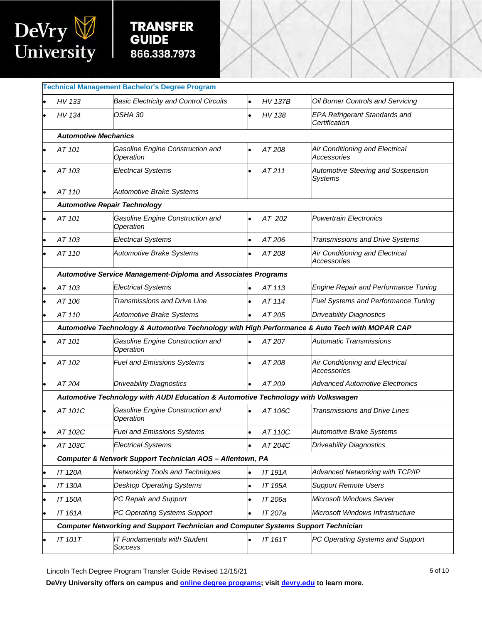

Į

|                                     | <b>Technical Management Bachelor's Degree Program</b>                                          |           |                |                                                             |  |  |  |
|-------------------------------------|------------------------------------------------------------------------------------------------|-----------|----------------|-------------------------------------------------------------|--|--|--|
| HV 133                              | <b>Basic Electricity and Control Circuits</b>                                                  | $\bullet$ | <b>HV 137B</b> | Oil Burner Controls and Servicing                           |  |  |  |
| HV 134                              | OSHA 30                                                                                        |           | HV 138         | <b>EPA Refrigerant Standards and</b><br>Certification       |  |  |  |
| <b>Automotive Mechanics</b>         |                                                                                                |           |                |                                                             |  |  |  |
| AT 101                              | Gasoline Engine Construction and<br>Operation                                                  |           | AT 208         | Air Conditioning and Electrical<br>Accessories              |  |  |  |
| AT 103                              | <b>Electrical Systems</b>                                                                      |           | AT 211         | <b>Automotive Steering and Suspension</b><br><b>Systems</b> |  |  |  |
| AT 110                              | <b>Automotive Brake Systems</b>                                                                |           |                |                                                             |  |  |  |
| <b>Automotive Repair Technology</b> |                                                                                                |           |                |                                                             |  |  |  |
| AT 101                              | Gasoline Engine Construction and<br>Operation                                                  |           | AT 202         | <b>Powertrain Electronics</b>                               |  |  |  |
| AT 103                              | <b>Electrical Systems</b>                                                                      |           | AT 206         | Transmissions and Drive Systems                             |  |  |  |
| AT 110                              | <b>Automotive Brake Systems</b>                                                                |           | AT 208         | Air Conditioning and Electrical<br>Accessories              |  |  |  |
|                                     | Automotive Service Management-Diploma and Associates Programs                                  |           |                |                                                             |  |  |  |
| AT 103                              | <b>Electrical Systems</b>                                                                      |           | AT 113         | Engine Repair and Performance Tuning                        |  |  |  |
| AT 106                              | <b>Transmissions and Drive Line</b>                                                            |           | AT 114         | <b>Fuel Systems and Performance Tuning</b>                  |  |  |  |
| AT 110                              | Automotive Brake Systems                                                                       |           | AT 205         | <b>Driveability Diagnostics</b>                             |  |  |  |
|                                     | Automotive Technology & Automotive Technology with High Performance & Auto Tech with MOPAR CAP |           |                |                                                             |  |  |  |
| AT 101                              | Gasoline Engine Construction and<br>Operation                                                  |           | AT 207         | <b>Automatic Transmissions</b>                              |  |  |  |
| AT 102                              | <b>Fuel and Emissions Systems</b>                                                              |           | AT 208         | Air Conditioning and Electrical<br>Accessories              |  |  |  |
| AT 204                              | <b>Driveability Diagnostics</b>                                                                |           | AT 209         | <b>Advanced Automotive Electronics</b>                      |  |  |  |
|                                     | Automotive Technology with AUDI Education & Automotive Technology with Volkswagen              |           |                |                                                             |  |  |  |
| AT 101C                             | Gasoline Engine Construction and<br>Operation                                                  |           | AT 106C        | <b>Transmissions and Drive Lines</b>                        |  |  |  |
| AT 102C                             | <b>Fuel and Emissions Systems</b>                                                              |           | AT 110C        | Automotive Brake Systems                                    |  |  |  |
| AT 103C                             | <b>Electrical Systems</b>                                                                      |           | AT 204C        | <b>Driveability Diagnostics</b>                             |  |  |  |
|                                     | Computer & Network Support Technician AOS - Allentown, PA                                      |           |                |                                                             |  |  |  |
| <b>IT 120A</b>                      | <b>Networking Tools and Techniques</b>                                                         |           | IT 191A        | Advanced Networking with TCP/IP                             |  |  |  |
| <b>IT 130A</b>                      | <b>Desktop Operating Systems</b>                                                               |           | IT 195A        | <b>Support Remote Users</b>                                 |  |  |  |
| IT 150A                             | PC Repair and Support                                                                          |           | IT 206a        | Microsoft Windows Server                                    |  |  |  |
| IT 161A                             | PC Operating Systems Support                                                                   |           | IT 207a        | Microsoft Windows Infrastructure                            |  |  |  |
|                                     | <b>Computer Networking and Support Technician and Computer Systems Support Technician</b>      |           |                |                                                             |  |  |  |
| <b>IT 101T</b>                      | <b>IT Fundamentals with Student</b><br><b>Success</b>                                          |           | IT 161T        | PC Operating Systems and Support                            |  |  |  |
|                                     |                                                                                                |           |                |                                                             |  |  |  |

Lincoln Tech Degree Program Transfer Guide Revised 12/15/21 5 01 0 5 5 5 5 5 5 5 5 5 5 5 5 5 6 10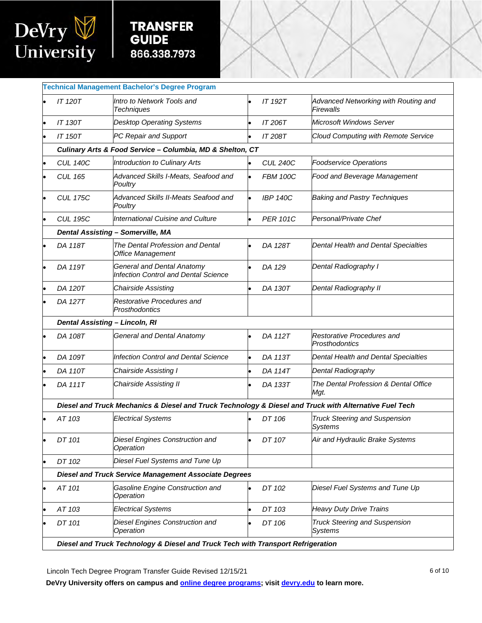

Į

|    | <b>Technical Management Bachelor's Degree Program</b>                            |                                                                                                        |  |                 |                                                        |  |  |  |
|----|----------------------------------------------------------------------------------|--------------------------------------------------------------------------------------------------------|--|-----------------|--------------------------------------------------------|--|--|--|
|    | <b>IT 120T</b>                                                                   | Intro to Network Tools and<br><b>Techniques</b>                                                        |  | IT 192T         | Advanced Networking with Routing and<br>Firewalls      |  |  |  |
| le | <b>IT 130T</b>                                                                   | <b>Desktop Operating Systems</b>                                                                       |  | IT 206T         | <b>Microsoft Windows Server</b>                        |  |  |  |
|    | <b>IT 150T</b>                                                                   | PC Repair and Support                                                                                  |  | IT 208T         | <b>Cloud Computing with Remote Service</b>             |  |  |  |
|    |                                                                                  | Culinary Arts & Food Service - Columbia, MD & Shelton, CT                                              |  |                 |                                                        |  |  |  |
|    | <b>CUL 140C</b>                                                                  | <b>Introduction to Culinary Arts</b>                                                                   |  | <b>CUL 240C</b> | <b>Foodservice Operations</b>                          |  |  |  |
|    | <b>CUL 165</b>                                                                   | Advanced Skills I-Meats, Seafood and<br>Poultry                                                        |  | <b>FBM 100C</b> | Food and Beverage Management                           |  |  |  |
|    | <b>CUL 175C</b>                                                                  | Advanced Skills II-Meats Seafood and<br>Poultry                                                        |  | <b>IBP 140C</b> | <b>Baking and Pastry Techniques</b>                    |  |  |  |
| c  | <b>CUL 195C</b>                                                                  | <b>International Cuisine and Culture</b>                                                               |  | <b>PER 101C</b> | Personal/Private Chef                                  |  |  |  |
|    |                                                                                  | <b>Dental Assisting - Somerville, MA</b>                                                               |  |                 |                                                        |  |  |  |
|    | DA 118T                                                                          | The Dental Profession and Dental<br>Office Management                                                  |  | DA 128T         | Dental Health and Dental Specialties                   |  |  |  |
|    | DA 119T                                                                          | <b>General and Dental Anatomy</b><br><b>Infection Control and Dental Science</b>                       |  | DA 129          | Dental Radiography I                                   |  |  |  |
|    | DA 120T                                                                          | Chairside Assisting                                                                                    |  | DA 130T         | Dental Radiography II                                  |  |  |  |
|    | DA 127T                                                                          | Restorative Procedures and<br><b>Prosthodontics</b>                                                    |  |                 |                                                        |  |  |  |
|    | <b>Dental Assisting - Lincoln, RI</b>                                            |                                                                                                        |  |                 |                                                        |  |  |  |
|    | DA 108T                                                                          | <b>General and Dental Anatomy</b>                                                                      |  | DA 112T         | Restorative Procedures and<br>Prosthodontics           |  |  |  |
|    | DA 109T                                                                          | <b>Infection Control and Dental Science</b>                                                            |  | DA 113T         | Dental Health and Dental Specialties                   |  |  |  |
|    | DA 110T                                                                          | <b>Chairside Assisting I</b>                                                                           |  | DA 114T         | Dental Radiography                                     |  |  |  |
|    | DA 111T                                                                          | <b>Chairside Assisting II</b>                                                                          |  | DA 133T         | The Dental Profession & Dental Office<br>Mgt.          |  |  |  |
|    |                                                                                  | Diesel and Truck Mechanics & Diesel and Truck Technology & Diesel and Truck with Alternative Fuel Tech |  |                 |                                                        |  |  |  |
|    | AT 103                                                                           | <b>Electrical Systems</b>                                                                              |  | DT 106          | <b>Truck Steering and Suspension</b><br><b>Systems</b> |  |  |  |
|    | DT 101                                                                           | Diesel Engines Construction and<br>Operation                                                           |  | DT 107          | Air and Hydraulic Brake Systems                        |  |  |  |
|    | DT 102                                                                           | Diesel Fuel Systems and Tune Up                                                                        |  |                 |                                                        |  |  |  |
|    |                                                                                  | <b>Diesel and Truck Service Management Associate Degrees</b>                                           |  |                 |                                                        |  |  |  |
|    | AT 101                                                                           | Gasoline Engine Construction and<br>Operation                                                          |  | DT 102          | Diesel Fuel Systems and Tune Up                        |  |  |  |
|    | AT 103                                                                           | <b>Electrical Systems</b>                                                                              |  | DT 103          | <b>Heavy Duty Drive Trains</b>                         |  |  |  |
|    | DT 101                                                                           | Diesel Engines Construction and<br>Operation                                                           |  | DT 106          | <b>Truck Steering and Suspension</b><br><b>Systems</b> |  |  |  |
|    | Diesel and Truck Technology & Diesel and Truck Tech with Transport Refrigeration |                                                                                                        |  |                 |                                                        |  |  |  |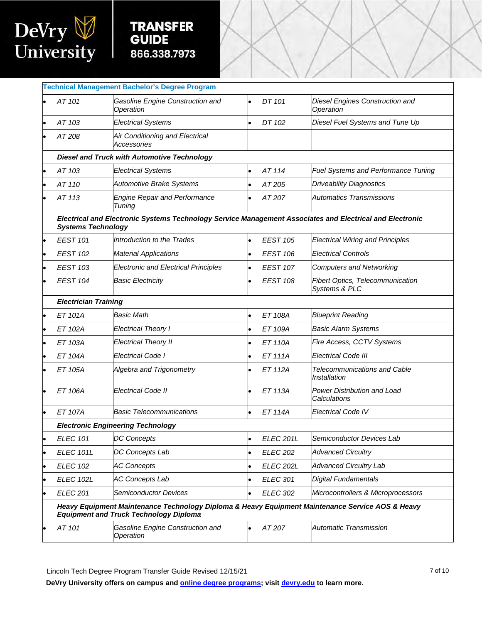

Į

|                             | <b>Technical Management Bachelor's Degree Program</b>                                                                                             |                  |                                                          |
|-----------------------------|---------------------------------------------------------------------------------------------------------------------------------------------------|------------------|----------------------------------------------------------|
| AT 101                      | Gasoline Engine Construction and<br>Operation                                                                                                     | DT 101           | Diesel Engines Construction and<br>Operation             |
| AT 103                      | <b>Electrical Systems</b>                                                                                                                         | DT 102           | Diesel Fuel Systems and Tune Up                          |
| AT 208                      | Air Conditioning and Electrical<br>Accessories                                                                                                    |                  |                                                          |
|                             | <b>Diesel and Truck with Automotive Technology</b>                                                                                                |                  |                                                          |
| AT 103                      | <b>Electrical Systems</b>                                                                                                                         | AT 114           | Fuel Systems and Performance Tuning                      |
| AT 110                      | <b>Automotive Brake Systems</b>                                                                                                                   | AT 205           | <b>Driveability Diagnostics</b>                          |
| AT 113                      | <b>Engine Repair and Performance</b><br>Tuning                                                                                                    | AT 207           | <b>Automatics Transmissions</b>                          |
| <b>Systems Technology</b>   | Electrical and Electronic Systems Technology Service Management Associates and Electrical and Electronic                                          |                  |                                                          |
| <b>EEST 101</b>             | Introduction to the Trades                                                                                                                        | <b>EEST 105</b>  | <b>Electrical Wiring and Principles</b>                  |
| <b>EEST 102</b>             | <b>Material Applications</b>                                                                                                                      | <b>EEST 106</b>  | <b>Electrical Controls</b>                               |
| <b>EEST 103</b>             | <b>Electronic and Electrical Principles</b>                                                                                                       | <b>EEST 107</b>  | <b>Computers and Networking</b>                          |
| <b>EEST 104</b>             | <b>Basic Electricity</b>                                                                                                                          | <b>EEST 108</b>  | <b>Fibert Optics, Telecommunication</b><br>Systems & PLC |
| <b>Electrician Training</b> |                                                                                                                                                   |                  |                                                          |
| <b>ET 101A</b>              | <b>Basic Math</b>                                                                                                                                 | ET 108A          | <b>Blueprint Reading</b>                                 |
| ET 102A                     | <b>Electrical Theory I</b>                                                                                                                        | ET 109A          | <b>Basic Alarm Systems</b>                               |
| ET 103A                     | <b>Electrical Theory II</b>                                                                                                                       | <b>ET 110A</b>   | Fire Access, CCTV Systems                                |
| <b>ET 104A</b>              | <b>Electrical Code I</b>                                                                                                                          | <b>ET 111A</b>   | Electrical Code III                                      |
| ET 105A                     | Algebra and Trigonometry                                                                                                                          | <b>ET 112A</b>   | <b>Telecommunications and Cable</b><br>Installation      |
| <b>ET 106A</b>              | <b>Electrical Code II</b>                                                                                                                         | <b>ET 113A</b>   | Power Distribution and Load<br>Calculations              |
| <b>ET 107A</b>              | <b>Basic Telecommunications</b>                                                                                                                   | <b>ET 114A</b>   | <b>Electrical Code IV</b>                                |
|                             | <b>Electronic Engineering Technology</b>                                                                                                          |                  |                                                          |
| <b>ELEC 101</b>             | <b>DC Concepts</b>                                                                                                                                | <b>ELEC 201L</b> | Semiconductor Devices Lab                                |
| <b>ELEC 101L</b>            | DC Concepts Lab                                                                                                                                   | <b>ELEC 202</b>  | <b>Advanced Circuitry</b>                                |
| <b>ELEC 102</b>             | <b>AC Concepts</b>                                                                                                                                | <b>ELEC 202L</b> | <b>Advanced Circuitry Lab</b>                            |
| <b>ELEC 102L</b>            | <b>AC Concepts Lab</b>                                                                                                                            | <b>ELEC 301</b>  | <b>Digital Fundamentals</b>                              |
| <b>ELEC 201</b>             | <b>Semiconductor Devices</b>                                                                                                                      | <b>ELEC 302</b>  | Microcontrollers & Microprocessors                       |
|                             | Heavy Equipment Maintenance Technology Diploma & Heavy Equipment Maintenance Service AOS & Heavy<br><b>Equipment and Truck Technology Diploma</b> |                  |                                                          |
| AT 101                      | Gasoline Engine Construction and<br>Operation                                                                                                     | AT 207           | Automatic Transmission                                   |
|                             |                                                                                                                                                   |                  |                                                          |

Lincoln Tech Degree Program Transfer Guide Revised 12/15/21 **The Contract Contract Contract Contract Contract Contract Contract Contract Contract Contract Contract Contract Contract Contract Contract Contract Contract Cont**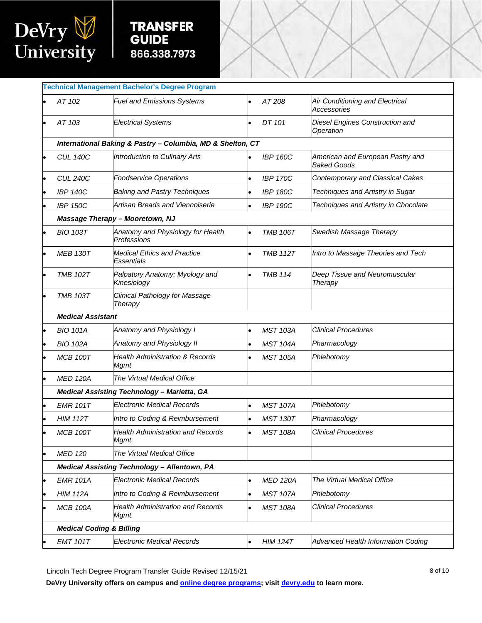

Į

| <b>Technical Management Bachelor's Degree Program</b> |                                                            |           |                 |                                                        |  |  |  |
|-------------------------------------------------------|------------------------------------------------------------|-----------|-----------------|--------------------------------------------------------|--|--|--|
|                                                       |                                                            |           |                 |                                                        |  |  |  |
| AT 102                                                | <b>Fuel and Emissions Systems</b>                          |           | AT 208          | Air Conditioning and Electrical<br>Accessories         |  |  |  |
| AT 103                                                | <b>Electrical Systems</b>                                  |           | DT 101          | Diesel Engines Construction and<br>Operation           |  |  |  |
|                                                       | International Baking & Pastry - Columbia, MD & Shelton, CT |           |                 |                                                        |  |  |  |
| <b>CUL 140C</b>                                       | Introduction to Culinary Arts                              |           | <b>IBP 160C</b> | American and European Pastry and<br><b>Baked Goods</b> |  |  |  |
| <b>CUL 240C</b>                                       | <b>Foodservice Operations</b>                              |           | <b>IBP 170C</b> | Contemporary and Classical Cakes                       |  |  |  |
| <b>IBP 140C</b>                                       | <b>Baking and Pastry Techniques</b>                        |           | <b>IBP 180C</b> | Techniques and Artistry in Sugar                       |  |  |  |
| <b>IBP 150C</b>                                       | Artisan Breads and Viennoiserie                            | $\bullet$ | <b>IBP 190C</b> | Techniques and Artistry in Chocolate                   |  |  |  |
|                                                       | <b>Massage Therapy - Mooretown, NJ</b>                     |           |                 |                                                        |  |  |  |
| <b>BIO 103T</b>                                       | Anatomy and Physiology for Health<br>Professions           |           | <b>TMB 106T</b> | Swedish Massage Therapy                                |  |  |  |
| <b>MEB 130T</b>                                       | <b>Medical Ethics and Practice</b><br>Essentials           | $\bullet$ | <b>TMB 112T</b> | Intro to Massage Theories and Tech                     |  |  |  |
| <b>TMB 102T</b>                                       | Palpatory Anatomy: Myology and<br>Kinesiology              |           | <b>TMB 114</b>  | Deep Tissue and Neuromuscular<br>Therapy               |  |  |  |
| <b>TMB 103T</b>                                       | Clinical Pathology for Massage<br>Therapy                  |           |                 |                                                        |  |  |  |
| <b>Medical Assistant</b>                              |                                                            |           |                 |                                                        |  |  |  |
| <b>BIO 101A</b>                                       | Anatomy and Physiology I                                   |           | <b>MST 103A</b> | <b>Clinical Procedures</b>                             |  |  |  |
| <b>BIO 102A</b>                                       | Anatomy and Physiology II                                  |           | <b>MST 104A</b> | Pharmacology                                           |  |  |  |
| <b>MCB 100T</b>                                       | <b>Health Administration &amp; Records</b><br>Mgmt         |           | <b>MST 105A</b> | Phlebotomy                                             |  |  |  |
| <b>MED 120A</b>                                       | The Virtual Medical Office                                 |           |                 |                                                        |  |  |  |
|                                                       | <b>Medical Assisting Technology - Marietta, GA</b>         |           |                 |                                                        |  |  |  |
| <b>EMR 101T</b>                                       | <b>Electronic Medical Records</b>                          |           | <b>MST 107A</b> | Phlebotomy                                             |  |  |  |
| <b>HIM 112T</b>                                       | Intro to Coding & Reimbursement                            |           | <b>MST 130T</b> | Pharmacology                                           |  |  |  |
| <b>MCB 100T</b>                                       | <b>Health Administration and Records</b><br>Mgmt.          |           | <b>MST 108A</b> | Clinical Procedures                                    |  |  |  |
| <b>MED 120</b>                                        | The Virtual Medical Office                                 |           |                 |                                                        |  |  |  |
|                                                       | <b>Medical Assisting Technology - Allentown, PA</b>        |           |                 |                                                        |  |  |  |
| <b>EMR 101A</b>                                       | <b>Electronic Medical Records</b>                          |           | <b>MED 120A</b> | The Virtual Medical Office                             |  |  |  |
| <b>HIM 112A</b>                                       | Intro to Coding & Reimbursement                            |           | <b>MST 107A</b> | Phlebotomy                                             |  |  |  |
| <b>MCB 100A</b>                                       | <b>Health Administration and Records</b><br>Mgmt.          |           | <b>MST 108A</b> | <b>Clinical Procedures</b>                             |  |  |  |
| <b>Medical Coding &amp; Billing</b>                   |                                                            |           |                 |                                                        |  |  |  |
| <b>EMT 101T</b>                                       | <b>Electronic Medical Records</b>                          | $\bullet$ | <b>HIM 124T</b> | Advanced Health Information Coding                     |  |  |  |
|                                                       |                                                            |           |                 |                                                        |  |  |  |

Lincoln Tech Degree Program Transfer Guide Revised 12/15/21 and the state of the state of 10 and 10 and 10 and 10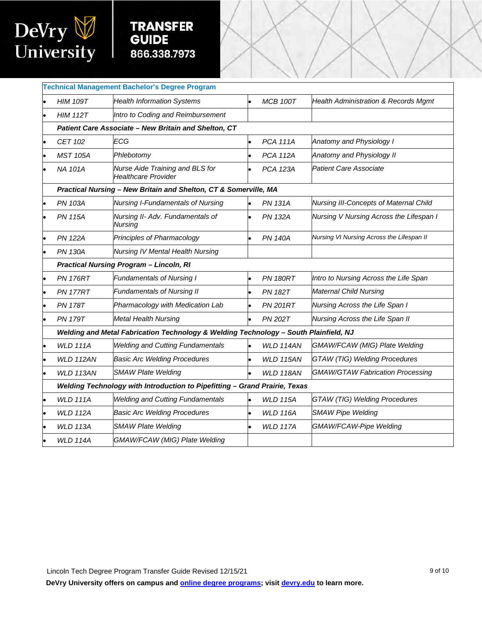

Į

| <b>HIM 109T</b>                                                            | <b>Health Information Systems</b>                             |                                                                                                         | <b>MCB 100T</b>  | <b>Health Administration &amp; Records Mgmt</b>                                                                                                          |  |  |  |
|----------------------------------------------------------------------------|---------------------------------------------------------------|---------------------------------------------------------------------------------------------------------|------------------|----------------------------------------------------------------------------------------------------------------------------------------------------------|--|--|--|
| <b>HIM 112T</b>                                                            | Intro to Coding and Reimbursement                             |                                                                                                         |                  |                                                                                                                                                          |  |  |  |
| Patient Care Associate - New Britain and Shelton, CT                       |                                                               |                                                                                                         |                  |                                                                                                                                                          |  |  |  |
| CET 102                                                                    | ECG                                                           |                                                                                                         | <b>PCA 111A</b>  | Anatomy and Physiology I                                                                                                                                 |  |  |  |
| <b>MST 105A</b>                                                            | Phlebotomy                                                    |                                                                                                         | <b>PCA 112A</b>  | Anatomy and Physiology II                                                                                                                                |  |  |  |
| <b>NA 101A</b>                                                             | Nurse Aide Training and BLS for<br><b>Healthcare Provider</b> |                                                                                                         | <b>PCA 123A</b>  | <b>Patient Care Associate</b>                                                                                                                            |  |  |  |
|                                                                            |                                                               |                                                                                                         |                  |                                                                                                                                                          |  |  |  |
| <b>PN 103A</b>                                                             | Nursing I-Fundamentals of Nursing                             | b                                                                                                       | <b>PN 131A</b>   | Nursing III-Concepts of Maternal Child                                                                                                                   |  |  |  |
| <b>PN 115A</b>                                                             | Nursing II- Adv. Fundamentals of<br>Nursing                   |                                                                                                         | <b>PN 132A</b>   | Nursing V Nursing Across the Lifespan I                                                                                                                  |  |  |  |
| <b>PN 122A</b>                                                             | Principles of Pharmacology                                    |                                                                                                         | <b>PN 140A</b>   | Nursing VI Nursing Across the Lifespan II                                                                                                                |  |  |  |
| <b>PN 130A</b>                                                             | <b>Nursing IV Mental Health Nursing</b>                       |                                                                                                         |                  |                                                                                                                                                          |  |  |  |
|                                                                            |                                                               |                                                                                                         |                  |                                                                                                                                                          |  |  |  |
| <b>PN 176RT</b>                                                            | <b>Fundamentals of Nursing I</b>                              |                                                                                                         | <b>PN 180RT</b>  | Intro to Nursing Across the Life Span                                                                                                                    |  |  |  |
| <b>PN 177RT</b>                                                            | <b>Fundamentals of Nursing II</b>                             |                                                                                                         | <b>PN 182T</b>   | <b>Maternal Child Nursing</b>                                                                                                                            |  |  |  |
| <b>PN 178T</b>                                                             | Pharmacology with Medication Lab                              |                                                                                                         | <b>PN 201RT</b>  | Nursing Across the Life Span I                                                                                                                           |  |  |  |
| <b>PN 179T</b>                                                             | <b>Metal Health Nursing</b>                                   |                                                                                                         | <b>PN 202T</b>   | Nursing Across the Life Span II                                                                                                                          |  |  |  |
|                                                                            |                                                               |                                                                                                         |                  |                                                                                                                                                          |  |  |  |
| <b>WLD 111A</b>                                                            | <b>Welding and Cutting Fundamentals</b>                       |                                                                                                         | WLD 114AN        | GMAW/FCAW (MIG) Plate Welding                                                                                                                            |  |  |  |
| <b>WLD 112AN</b>                                                           | <b>Basic Arc Welding Procedures</b>                           |                                                                                                         | <b>WLD 115AN</b> | <b>GTAW (TIG) Welding Procedures</b>                                                                                                                     |  |  |  |
| <b>WLD 113AN</b>                                                           | <b>SMAW Plate Welding</b>                                     |                                                                                                         | WLD 118AN        | <b>GMAW/GTAW Fabrication Processing</b>                                                                                                                  |  |  |  |
| Welding Technology with Introduction to Pipefitting - Grand Prairie, Texas |                                                               |                                                                                                         |                  |                                                                                                                                                          |  |  |  |
| <b>WLD 111A</b>                                                            | <b>Welding and Cutting Fundamentals</b>                       |                                                                                                         | <b>WLD 115A</b>  | <b>GTAW (TIG) Welding Procedures</b>                                                                                                                     |  |  |  |
| <b>WLD 112A</b>                                                            | <b>Basic Arc Welding Procedures</b>                           |                                                                                                         | <b>WLD 116A</b>  | <b>SMAW Pipe Welding</b>                                                                                                                                 |  |  |  |
| <b>WLD 113A</b>                                                            | <b>SMAW Plate Welding</b>                                     |                                                                                                         | <b>WLD 117A</b>  | GMAW/FCAW-Pipe Welding                                                                                                                                   |  |  |  |
| <b>WLD 114A</b>                                                            | GMAW/FCAW (MIG) Plate Welding                                 |                                                                                                         |                  |                                                                                                                                                          |  |  |  |
|                                                                            |                                                               | <b>Technical Management Bachelor's Degree Program</b><br><b>Practical Nursing Program - Lincoln, RI</b> |                  | Practical Nursing - New Britain and Shelton, CT & Somerville, MA<br>Welding and Metal Fabrication Technology & Welding Technology - South Plainfield, NJ |  |  |  |